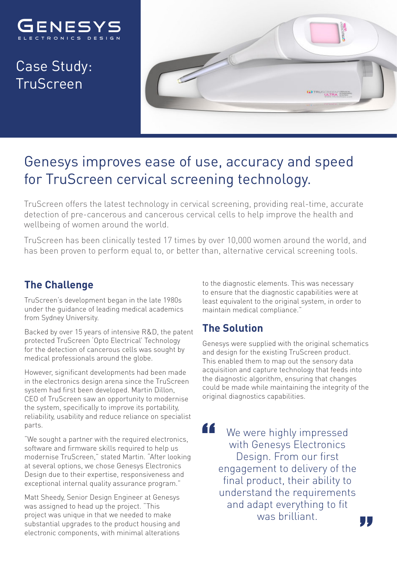

Case Study: TruScreen



# Genesys improves ease of use, accuracy and speed for TruScreen cervical screening technology.

TruScreen offers the latest technology in cervical screening, providing real-time, accurate detection of pre-cancerous and cancerous cervical cells to help improve the health and wellbeing of women around the world.

TruScreen has been clinically tested 17 times by over 10,000 women around the world, and has been proven to perform equal to, or better than, alternative cervical screening tools.

#### **The Challenge**

TruScreen's development began in the late 1980s under the guidance of leading medical academics from Sydney University.

Backed by over 15 years of intensive R&D, the patent protected TruScreen 'Opto Electrical' Technology for the detection of cancerous cells was sought by medical professionals around the globe.

However, significant developments had been made in the electronics design arena since the TruScreen system had first been developed. Martin Dillon, CEO of TruScreen saw an opportunity to modernise the system, specifically to improve its portability, reliability, usability and reduce reliance on specialist parts.

"We sought a partner with the required electronics, software and firmware skills required to help us modernise TruScreen," stated Martin. "After looking at several options, we chose Genesys Electronics Design due to their expertise, responsiveness and exceptional internal quality assurance program."

Matt Sheedy, Senior Design Engineer at Genesys was assigned to head up the project. "This project was unique in that we needed to make substantial upgrades to the product housing and electronic components, with minimal alterations

to the diagnostic elements. This was necessary to ensure that the diagnostic capabilities were at least equivalent to the original system, in order to maintain medical compliance."

#### **The Solution**

Genesys were supplied with the original schematics and design for the existing TruScreen product. This enabled them to map out the sensory data acquisition and capture technology that feeds into the diagnostic algorithm, ensuring that changes could be made while maintaining the integrity of the original diagnostics capabilities.

"

We were highly impressed with Genesys Electronics Design. From our first engagement to delivery of the final product, their ability to understand the requirements and adapt everything to fit was brilliant.

ŢŢ